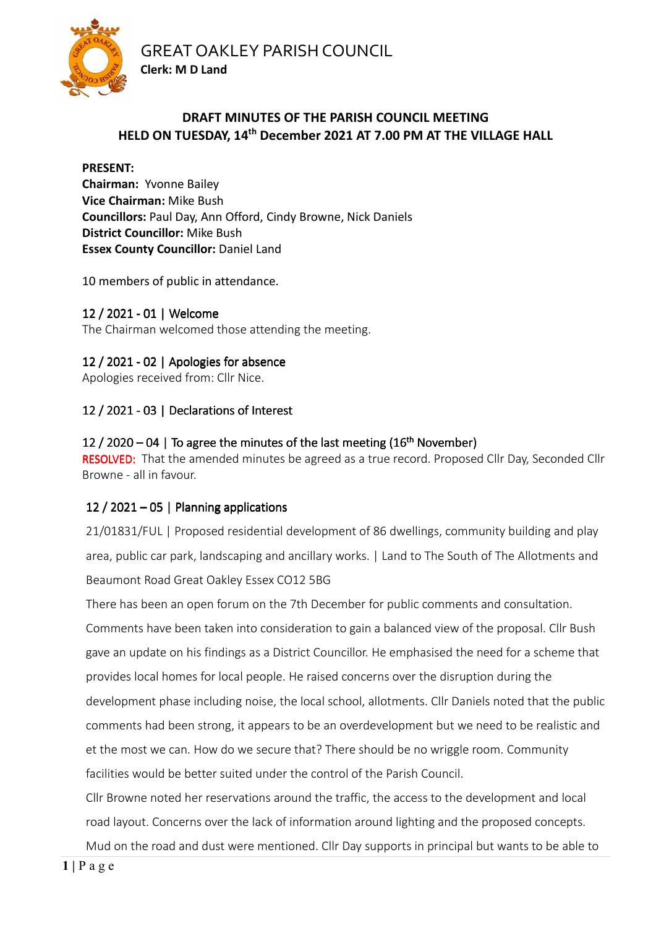GREAT OAKLEY PARISH COUNCIL



### **DRAFT MINUTES OF THE PARISH COUNCIL MEETING HELD ON TUESDAY, 14th December 2021 AT 7.00 PM AT THE VILLAGE HALL**

#### **PRESENT:**

**Chairman:** Yvonne Bailey **Vice Chairman:** Mike Bush **Councillors:** Paul Day, Ann Offord, Cindy Browne, Nick Daniels **District Councillor:** Mike Bush **Essex County Councillor:** Daniel Land

10 members of public in attendance.

**Clerk: M D Land** 

12 / 2021 - 01 | Welcome The Chairman welcomed those attending the meeting.

# 12 / 2021 - 02 | Apologies for absence

Apologies received from: Cllr Nice.

# 12 / 2021 - 03 | Declarations of Interest

### 12 / 2020 – 04 | To agree the minutes of the last meeting  $(16<sup>th</sup>$  November)

RESOLVED: That the amended minutes be agreed as a true record. Proposed Cllr Day, Seconded Cllr Browne - all in favour.

## 12 / 2021 – 05 | Planning applications

21/01831/FUL | Proposed residential development of 86 dwellings, community building and play area, public car park, landscaping and ancillary works. | Land to The South of The Allotments and Beaumont Road Great Oakley Essex CO12 5BG

There has been an open forum on the 7th December for public comments and consultation.

Comments have been taken into consideration to gain a balanced view of the proposal. Cllr Bush gave an update on his findings as a District Councillor. He emphasised the need for a scheme that provides local homes for local people. He raised concerns over the disruption during the development phase including noise, the local school, allotments. Cllr Daniels noted that the public comments had been strong, it appears to be an overdevelopment but we need to be realistic and et the most we can. How do we secure that? There should be no wriggle room. Community facilities would be better suited under the control of the Parish Council.

Cllr Browne noted her reservations around the traffic, the access to the development and local road layout. Concerns over the lack of information around lighting and the proposed concepts.

Mud on the road and dust were mentioned. Cllr Day supports in principal but wants to be able to